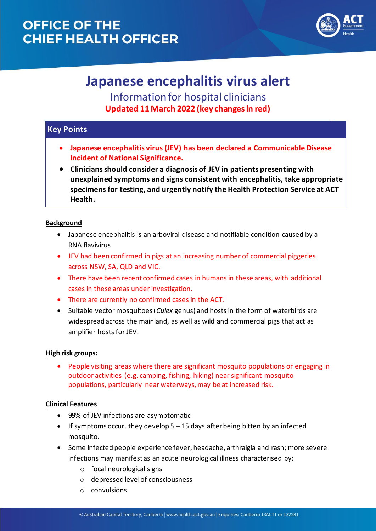## **OFFICE OF THE CHIEF HEALTH OFFICER**



# **Japanese encephalitis virus alert**

Information for hospital clinicians **Updated 11 March 2022 (key changes in red)**

### **Key Points**

- **Japanese encephalitis virus (JEV) has been declared a Communicable Disease Incident of National Significance.**
- **Clinicians should consider a diagnosis of JEV in patients presenting with unexplained symptoms and signs consistent with encephalitis, take appropriate specimens for testing, and urgently notify the Health Protection Service at ACT Health.**

### **Background**

- Japanese encephalitis is an arboviral disease and notifiable condition caused by a RNA flavivirus
- JEV had been confirmed in pigs at an increasing number of commercial piggeries across NSW, SA, QLD and VIC.
- There have been recent confirmed cases in humans in these areas, with additional cases in these areas under investigation.
- There are currently no confirmed cases in the ACT.
- Suitable vector mosquitoes (*Culex* genus) and hosts in the form of waterbirds are widespread across the mainland, as well as wild and commercial pigs that act as amplifier hosts for JEV.

### **High risk groups:**

• People visiting areas where there are significant mosquito populations or engaging in outdoor activities (e.g. camping, fishing, hiking) near significant mosquito populations, particularly near waterways, may be at increased risk.

### **Clinical Features**

- 99% of JEV infections are asymptomatic
- If symptoms occur, they develop 5 15 days after being bitten by an infected mosquito.
- Some infected people experience fever, headache, arthralgia and rash; more severe infections may manifest as an acute neurological illness characterised by:
	- o focal neurological signs
	- o depressed level of consciousness
	- o convulsions